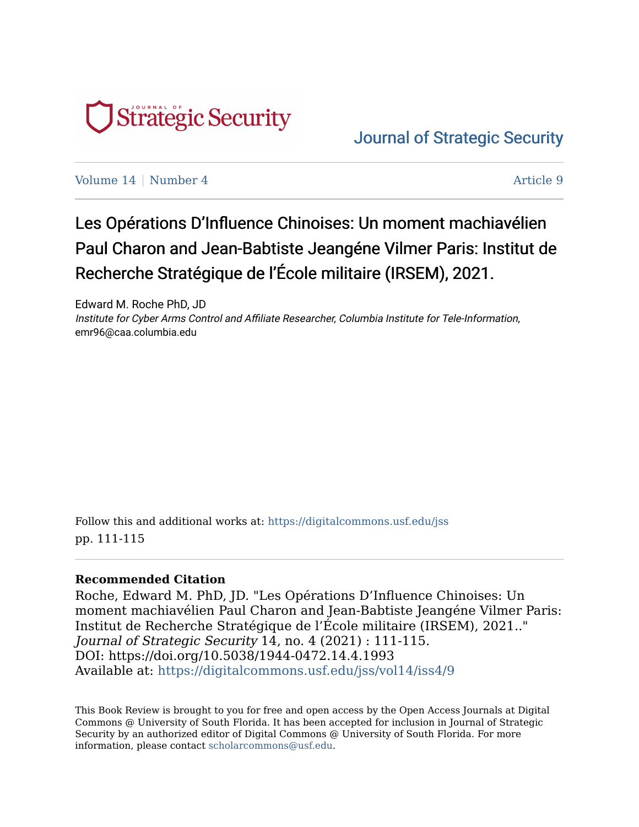

## [Journal of Strategic Security](https://digitalcommons.usf.edu/jss)

[Volume 14](https://digitalcommons.usf.edu/jss/vol14) | [Number 4](https://digitalcommons.usf.edu/jss/vol14/iss4) Article 9

## Les Opérations D'Influence Chinoises: Un moment machiavélien Paul Charon and Jean-Babtiste Jeangéne Vilmer Paris: Institut de Recherche Stratégique de l'École militaire (IRSEM), 2021.

Edward M. Roche PhD, JD Institute for Cyber Arms Control and Affiliate Researcher, Columbia Institute for Tele-Information, emr96@caa.columbia.edu

Follow this and additional works at: [https://digitalcommons.usf.edu/jss](https://digitalcommons.usf.edu/jss?utm_source=digitalcommons.usf.edu%2Fjss%2Fvol14%2Fiss4%2F9&utm_medium=PDF&utm_campaign=PDFCoverPages) pp. 111-115

## **Recommended Citation**

Roche, Edward M. PhD, JD. "Les Opérations D'Influence Chinoises: Un moment machiavélien Paul Charon and Jean-Babtiste Jeangéne Vilmer Paris: Institut de Recherche Stratégique de l'École militaire (IRSEM), 2021.." Journal of Strategic Security 14, no. 4 (2021) : 111-115. DOI: https://doi.org/10.5038/1944-0472.14.4.1993 Available at: [https://digitalcommons.usf.edu/jss/vol14/iss4/9](https://digitalcommons.usf.edu/jss/vol14/iss4/9?utm_source=digitalcommons.usf.edu%2Fjss%2Fvol14%2Fiss4%2F9&utm_medium=PDF&utm_campaign=PDFCoverPages) 

This Book Review is brought to you for free and open access by the Open Access Journals at Digital Commons @ University of South Florida. It has been accepted for inclusion in Journal of Strategic Security by an authorized editor of Digital Commons @ University of South Florida. For more information, please contact [scholarcommons@usf.edu.](mailto:scholarcommons@usf.edu)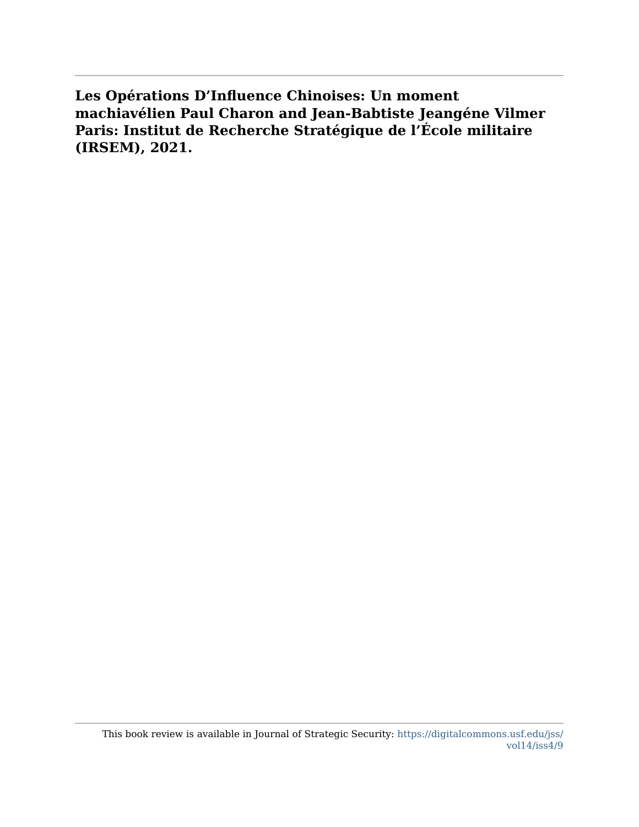**Les Opérations D'Influence Chinoises: Un moment machiavélien Paul Charon and Jean-Babtiste Jeangéne Vilmer Paris: Institut de Recherche Stratégique de l'École militaire (IRSEM), 2021.**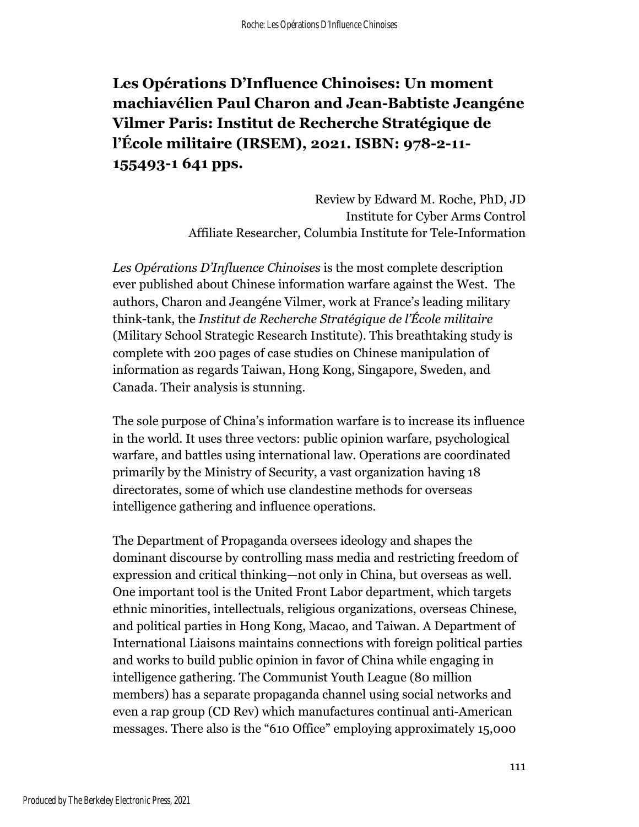## **Les Opérations D'Influence Chinoises: Un moment machiavélien Paul Charon and Jean-Babtiste Jeangéne Vilmer Paris: Institut de Recherche Stratégique de l'École militaire (IRSEM), 2021. ISBN: 978-2-11- 155493-1 641 pps.**

Review by Edward M. Roche, PhD, JD Institute for Cyber Arms Control Affiliate Researcher, Columbia Institute for Tele-Information

*Les Opérations D'Influence Chinoises* is the most complete description ever published about Chinese information warfare against the West. The authors, Charon and Jeangéne Vilmer, work at France's leading military think-tank, the *Institut de Recherche Stratégique de l'École militaire* (Military School Strategic Research Institute). This breathtaking study is complete with 200 pages of case studies on Chinese manipulation of information as regards Taiwan, Hong Kong, Singapore, Sweden, and Canada. Their analysis is stunning.

The sole purpose of China's information warfare is to increase its influence in the world. It uses three vectors: public opinion warfare, psychological warfare, and battles using international law. Operations are coordinated primarily by the Ministry of Security, a vast organization having 18 directorates, some of which use clandestine methods for overseas intelligence gathering and influence operations.

The Department of Propaganda oversees ideology and shapes the dominant discourse by controlling mass media and restricting freedom of expression and critical thinking—not only in China, but overseas as well. One important tool is the United Front Labor department, which targets ethnic minorities, intellectuals, religious organizations, overseas Chinese, and political parties in Hong Kong, Macao, and Taiwan. A Department of International Liaisons maintains connections with foreign political parties and works to build public opinion in favor of China while engaging in intelligence gathering. The Communist Youth League (80 million members) has a separate propaganda channel using social networks and even a rap group (CD Rev) which manufactures continual anti-American messages. There also is the "610 Office" employing approximately 15,000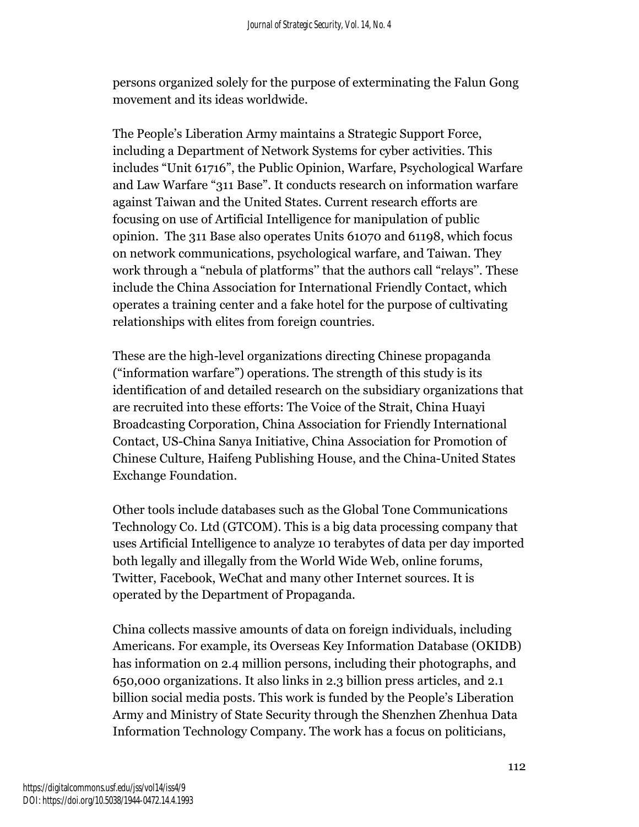persons organized solely for the purpose of exterminating the Falun Gong movement and its ideas worldwide.

The People's Liberation Army maintains a Strategic Support Force, including a Department of Network Systems for cyber activities. This includes "Unit 61716", the Public Opinion, Warfare, Psychological Warfare and Law Warfare "311 Base". It conducts research on information warfare against Taiwan and the United States. Current research efforts are focusing on use of Artificial Intelligence for manipulation of public opinion. The 311 Base also operates Units 61070 and 61198, which focus on network communications, psychological warfare, and Taiwan. They work through a "nebula of platforms'' that the authors call "relays''. These include the China Association for International Friendly Contact, which operates a training center and a fake hotel for the purpose of cultivating relationships with elites from foreign countries.

These are the high-level organizations directing Chinese propaganda ("information warfare") operations. The strength of this study is its identification of and detailed research on the subsidiary organizations that are recruited into these efforts: The Voice of the Strait, China Huayi Broadcasting Corporation, China Association for Friendly International Contact, US-China Sanya Initiative, China Association for Promotion of Chinese Culture, Haifeng Publishing House, and the China-United States Exchange Foundation.

Other tools include databases such as the Global Tone Communications Technology Co. Ltd (GTCOM). This is a big data processing company that uses Artificial Intelligence to analyze 10 terabytes of data per day imported both legally and illegally from the World Wide Web, online forums, Twitter, Facebook, WeChat and many other Internet sources. It is operated by the Department of Propaganda.

China collects massive amounts of data on foreign individuals, including Americans. For example, its Overseas Key Information Database (OKIDB) has information on 2.4 million persons, including their photographs, and 650,000 organizations. It also links in 2.3 billion press articles, and 2.1 billion social media posts. This work is funded by the People's Liberation Army and Ministry of State Security through the Shenzhen Zhenhua Data Information Technology Company. The work has a focus on politicians,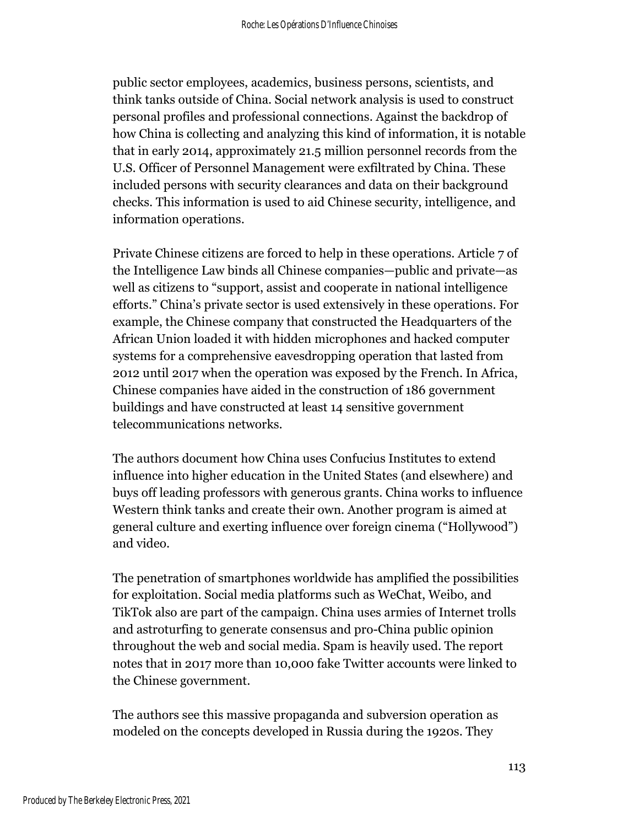public sector employees, academics, business persons, scientists, and think tanks outside of China. Social network analysis is used to construct personal profiles and professional connections. Against the backdrop of how China is collecting and analyzing this kind of information, it is notable that in early 2014, approximately 21.5 million personnel records from the U.S. Officer of Personnel Management were exfiltrated by China. These included persons with security clearances and data on their background checks. This information is used to aid Chinese security, intelligence, and information operations.

Private Chinese citizens are forced to help in these operations. Article 7 of the Intelligence Law binds all Chinese companies—public and private—as well as citizens to "support, assist and cooperate in national intelligence efforts." China's private sector is used extensively in these operations. For example, the Chinese company that constructed the Headquarters of the African Union loaded it with hidden microphones and hacked computer systems for a comprehensive eavesdropping operation that lasted from 2012 until 2017 when the operation was exposed by the French. In Africa, Chinese companies have aided in the construction of 186 government buildings and have constructed at least 14 sensitive government telecommunications networks.

The authors document how China uses Confucius Institutes to extend influence into higher education in the United States (and elsewhere) and buys off leading professors with generous grants. China works to influence Western think tanks and create their own. Another program is aimed at general culture and exerting influence over foreign cinema ("Hollywood") and video.

The penetration of smartphones worldwide has amplified the possibilities for exploitation. Social media platforms such as WeChat, Weibo, and TikTok also are part of the campaign. China uses armies of Internet trolls and astroturfing to generate consensus and pro-China public opinion throughout the web and social media. Spam is heavily used. The report notes that in 2017 more than 10,000 fake Twitter accounts were linked to the Chinese government.

The authors see this massive propaganda and subversion operation as modeled on the concepts developed in Russia during the 1920s. They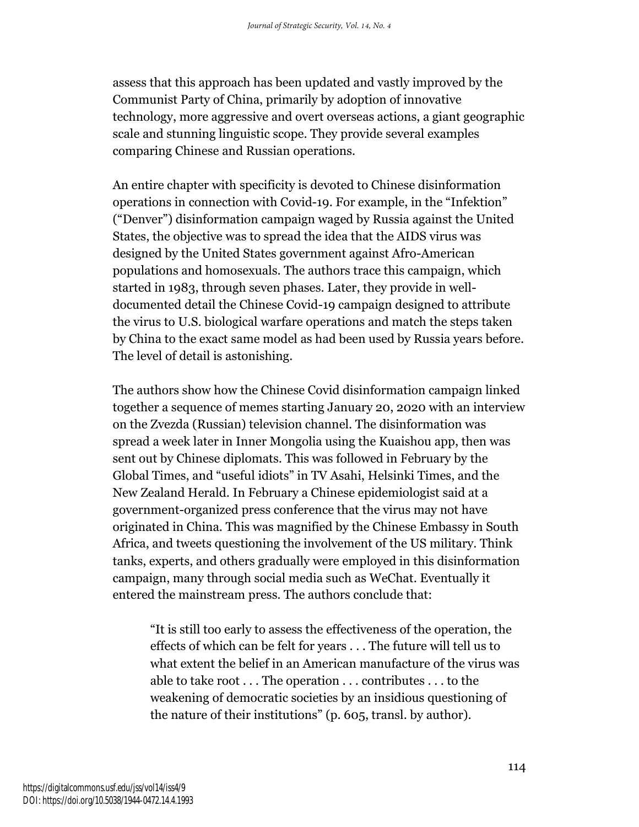assess that this approach has been updated and vastly improved by the Communist Party of China, primarily by adoption of innovative technology, more aggressive and overt overseas actions, a giant geographic scale and stunning linguistic scope. They provide several examples comparing Chinese and Russian operations.

An entire chapter with specificity is devoted to Chinese disinformation operations in connection with Covid-19. For example, in the "Infektion" ("Denver") disinformation campaign waged by Russia against the United States, the objective was to spread the idea that the AIDS virus was designed by the United States government against Afro-American populations and homosexuals. The authors trace this campaign, which started in 1983, through seven phases. Later, they provide in welldocumented detail the Chinese Covid-19 campaign designed to attribute the virus to U.S. biological warfare operations and match the steps taken by China to the exact same model as had been used by Russia years before. The level of detail is astonishing.

The authors show how the Chinese Covid disinformation campaign linked together a sequence of memes starting January 20, 2020 with an interview on the Zvezda (Russian) television channel. The disinformation was spread a week later in Inner Mongolia using the Kuaishou app, then was sent out by Chinese diplomats. This was followed in February by the Global Times, and "useful idiots" in TV Asahi, Helsinki Times, and the New Zealand Herald. In February a Chinese epidemiologist said at a government-organized press conference that the virus may not have originated in China. This was magnified by the Chinese Embassy in South Africa, and tweets questioning the involvement of the US military. Think tanks, experts, and others gradually were employed in this disinformation campaign, many through social media such as WeChat. Eventually it entered the mainstream press. The authors conclude that:

"It is still too early to assess the effectiveness of the operation, the effects of which can be felt for years . . . The future will tell us to what extent the belief in an American manufacture of the virus was able to take root . . . The operation . . . contributes . . . to the weakening of democratic societies by an insidious questioning of the nature of their institutions" (p. 605, transl. by author).